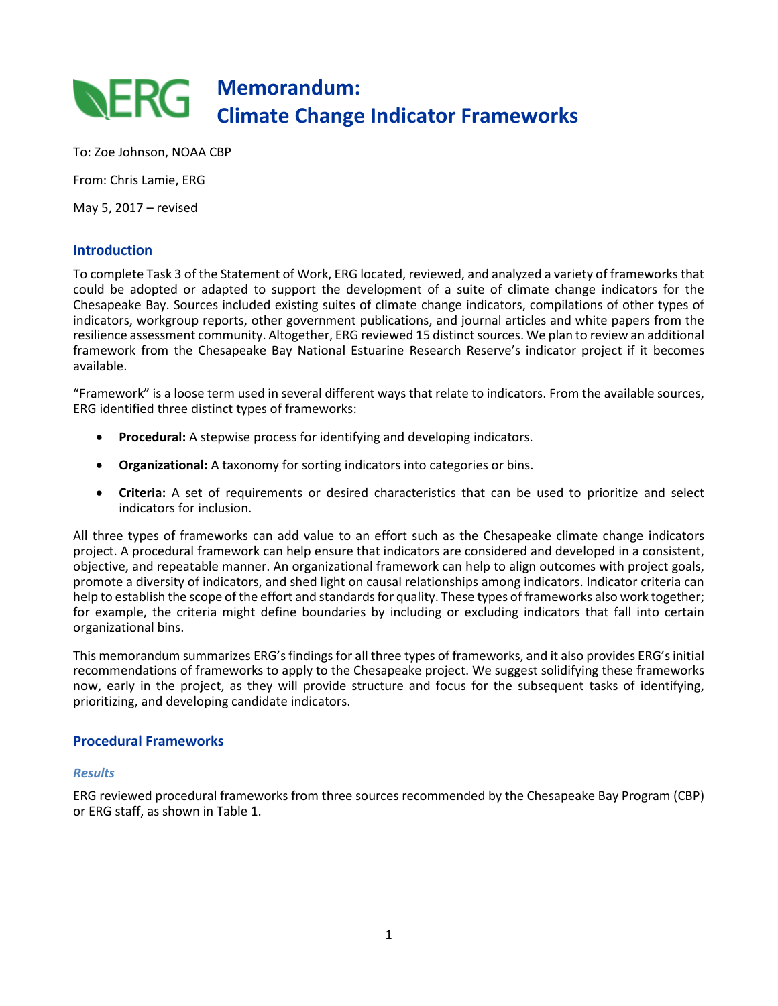## **Memorandum: RERG Climate Change Indicator Frameworks**

To: Zoe Johnson, NOAA CBP

From: Chris Lamie, ERG

May 5, 2017 – revised

## **Introduction**

To complete Task 3 of the Statement of Work, ERG located, reviewed, and analyzed a variety of frameworks that could be adopted or adapted to support the development of a suite of climate change indicators for the Chesapeake Bay. Sources included existing suites of climate change indicators, compilations of other types of indicators, workgroup reports, other government publications, and journal articles and white papers from the resilience assessment community. Altogether, ERG reviewed 15 distinct sources. We plan to review an additional framework from the Chesapeake Bay National Estuarine Research Reserve's indicator project if it becomes available.

"Framework" is a loose term used in several different ways that relate to indicators. From the available sources, ERG identified three distinct types of frameworks:

- **Procedural:** A stepwise process for identifying and developing indicators.
- **Organizational:** A taxonomy for sorting indicators into categories or bins.
- **Criteria:** A set of requirements or desired characteristics that can be used to prioritize and select indicators for inclusion.

All three types of frameworks can add value to an effort such as the Chesapeake climate change indicators project. A procedural framework can help ensure that indicators are considered and developed in a consistent, objective, and repeatable manner. An organizational framework can help to align outcomes with project goals, promote a diversity of indicators, and shed light on causal relationships among indicators. Indicator criteria can help to establish the scope of the effort and standards for quality. These types of frameworks also work together; for example, the criteria might define boundaries by including or excluding indicators that fall into certain organizational bins.

This memorandum summarizes ERG's findings for all three types of frameworks, and it also provides ERG's initial recommendations of frameworks to apply to the Chesapeake project. We suggest solidifying these frameworks now, early in the project, as they will provide structure and focus for the subsequent tasks of identifying, prioritizing, and developing candidate indicators.

## **Procedural Frameworks**

### *Results*

ERG reviewed procedural frameworks from three sources recommended by the Chesapeake Bay Program (CBP) or ERG staff, as shown in Table 1.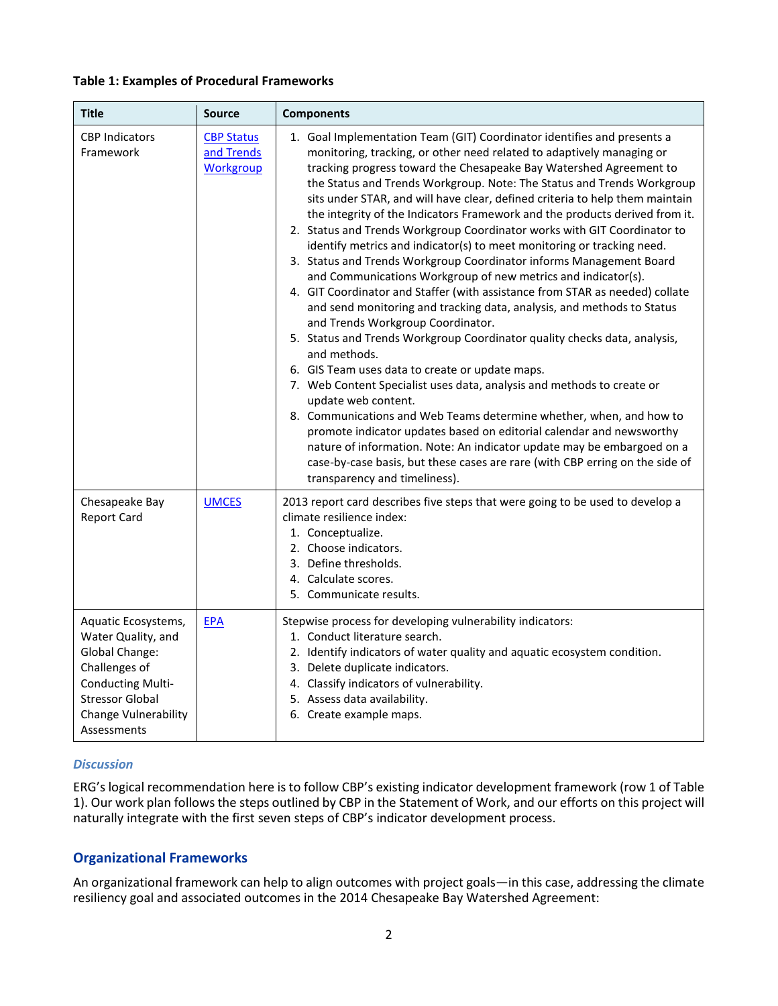### **Table 1: Examples of Procedural Frameworks**

| <b>Title</b>                                                                                                                                                                     | <b>Source</b>                                       | <b>Components</b>                                                                                                                                                                                                                                                                                                                                                                                                                                                                                                                                                                                                                                                                                                                                                                                                                                                                                                                                                                                                                                                                                                                                                                                                                                                                                                                                                                                                                                                                                                                                       |
|----------------------------------------------------------------------------------------------------------------------------------------------------------------------------------|-----------------------------------------------------|---------------------------------------------------------------------------------------------------------------------------------------------------------------------------------------------------------------------------------------------------------------------------------------------------------------------------------------------------------------------------------------------------------------------------------------------------------------------------------------------------------------------------------------------------------------------------------------------------------------------------------------------------------------------------------------------------------------------------------------------------------------------------------------------------------------------------------------------------------------------------------------------------------------------------------------------------------------------------------------------------------------------------------------------------------------------------------------------------------------------------------------------------------------------------------------------------------------------------------------------------------------------------------------------------------------------------------------------------------------------------------------------------------------------------------------------------------------------------------------------------------------------------------------------------------|
| <b>CBP Indicators</b><br>Framework                                                                                                                                               | <b>CBP Status</b><br>and Trends<br><b>Workgroup</b> | 1. Goal Implementation Team (GIT) Coordinator identifies and presents a<br>monitoring, tracking, or other need related to adaptively managing or<br>tracking progress toward the Chesapeake Bay Watershed Agreement to<br>the Status and Trends Workgroup. Note: The Status and Trends Workgroup<br>sits under STAR, and will have clear, defined criteria to help them maintain<br>the integrity of the Indicators Framework and the products derived from it.<br>2. Status and Trends Workgroup Coordinator works with GIT Coordinator to<br>identify metrics and indicator(s) to meet monitoring or tracking need.<br>3. Status and Trends Workgroup Coordinator informs Management Board<br>and Communications Workgroup of new metrics and indicator(s).<br>4. GIT Coordinator and Staffer (with assistance from STAR as needed) collate<br>and send monitoring and tracking data, analysis, and methods to Status<br>and Trends Workgroup Coordinator.<br>5. Status and Trends Workgroup Coordinator quality checks data, analysis,<br>and methods.<br>6. GIS Team uses data to create or update maps.<br>7. Web Content Specialist uses data, analysis and methods to create or<br>update web content.<br>8. Communications and Web Teams determine whether, when, and how to<br>promote indicator updates based on editorial calendar and newsworthy<br>nature of information. Note: An indicator update may be embargoed on a<br>case-by-case basis, but these cases are rare (with CBP erring on the side of<br>transparency and timeliness). |
| Chesapeake Bay<br><b>Report Card</b>                                                                                                                                             | <b>UMCES</b>                                        | 2013 report card describes five steps that were going to be used to develop a<br>climate resilience index:<br>1. Conceptualize.<br>2. Choose indicators.<br>3. Define thresholds.<br>4. Calculate scores.<br>5. Communicate results.                                                                                                                                                                                                                                                                                                                                                                                                                                                                                                                                                                                                                                                                                                                                                                                                                                                                                                                                                                                                                                                                                                                                                                                                                                                                                                                    |
| Aquatic Ecosystems,<br>Water Quality, and<br>Global Change:<br>Challenges of<br><b>Conducting Multi-</b><br><b>Stressor Global</b><br><b>Change Vulnerability</b><br>Assessments | <b>EPA</b>                                          | Stepwise process for developing vulnerability indicators:<br>1. Conduct literature search.<br>2. Identify indicators of water quality and aquatic ecosystem condition.<br>3. Delete duplicate indicators.<br>4. Classify indicators of vulnerability.<br>5. Assess data availability.<br>6. Create example maps.                                                                                                                                                                                                                                                                                                                                                                                                                                                                                                                                                                                                                                                                                                                                                                                                                                                                                                                                                                                                                                                                                                                                                                                                                                        |

### *Discussion*

ERG's logical recommendation here is to follow CBP's existing indicator development framework (row 1 of Table 1). Our work plan follows the steps outlined by CBP in the Statement of Work, and our efforts on this project will naturally integrate with the first seven steps of CBP's indicator development process.

## **Organizational Frameworks**

An organizational framework can help to align outcomes with project goals—in this case, addressing the climate resiliency goal and associated outcomes in the 2014 Chesapeake Bay Watershed Agreement: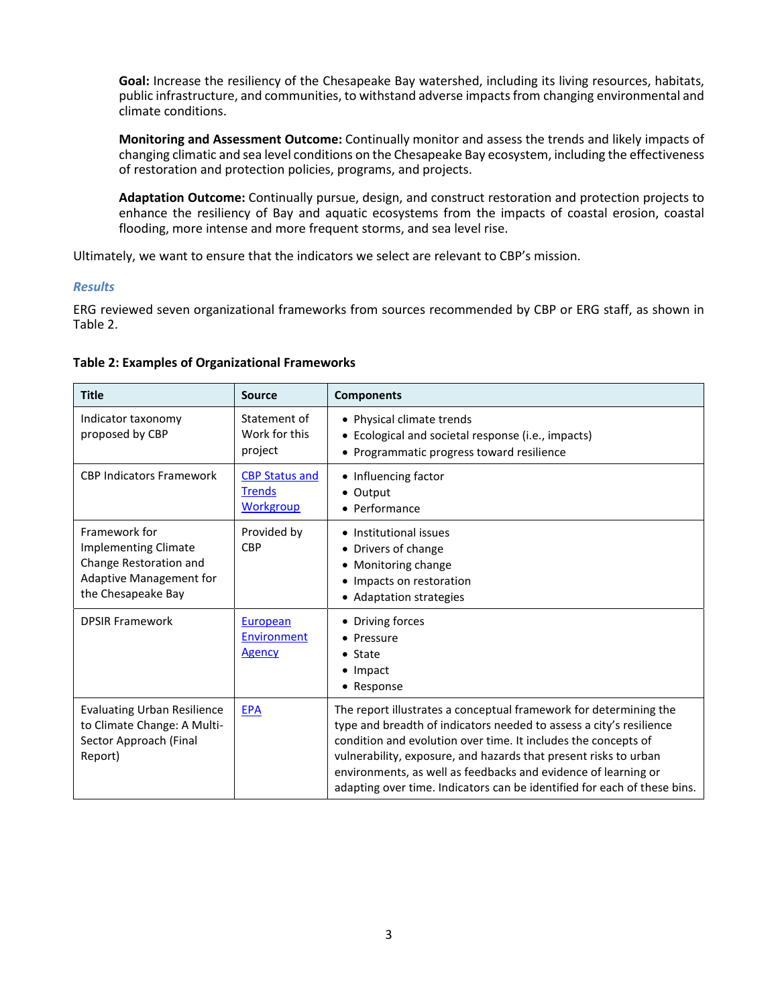**Goal:** Increase the resiliency of the Chesapeake Bay watershed, including its living resources, habitats, public infrastructure, and communities, to withstand adverse impacts from changing environmental and climate conditions.

**Monitoring and Assessment Outcome:** Continually monitor and assess the trends and likely impacts of changing climatic and sea level conditions on the Chesapeake Bay ecosystem, including the effectiveness of restoration and protection policies, programs, and projects.

**Adaptation Outcome:** Continually pursue, design, and construct restoration and protection projects to enhance the resiliency of Bay and aquatic ecosystems from the impacts of coastal erosion, coastal flooding, more intense and more frequent storms, and sea level rise.

Ultimately, we want to ensure that the indicators we select are relevant to CBP's mission.

## *Results*

ERG reviewed seven organizational frameworks from sources recommended by CBP or ERG staff, as shown in Table 2.

| <b>Title</b>                                                                                                            | <b>Source</b>                                              | <b>Components</b>                                                                                                                                                                                                                                                                                                                                                                                                            |
|-------------------------------------------------------------------------------------------------------------------------|------------------------------------------------------------|------------------------------------------------------------------------------------------------------------------------------------------------------------------------------------------------------------------------------------------------------------------------------------------------------------------------------------------------------------------------------------------------------------------------------|
| Indicator taxonomy<br>proposed by CBP                                                                                   | Statement of<br>Work for this<br>project                   | • Physical climate trends<br>• Ecological and societal response (i.e., impacts)<br>• Programmatic progress toward resilience                                                                                                                                                                                                                                                                                                 |
| <b>CBP Indicators Framework</b>                                                                                         | <b>CBP Status and</b><br><b>Trends</b><br><b>Workgroup</b> | • Influencing factor<br>• Output<br>• Performance                                                                                                                                                                                                                                                                                                                                                                            |
| Framework for<br><b>Implementing Climate</b><br>Change Restoration and<br>Adaptive Management for<br>the Chesapeake Bay | Provided by<br><b>CBP</b>                                  | • Institutional issues<br>• Drivers of change<br>• Monitoring change<br>• Impacts on restoration<br>• Adaptation strategies                                                                                                                                                                                                                                                                                                  |
| <b>DPSIR Framework</b>                                                                                                  | European<br>Environment<br>Agency                          | • Driving forces<br>• Pressure<br>$\bullet$ State<br>$\bullet$ Impact<br>• Response                                                                                                                                                                                                                                                                                                                                          |
| <b>Evaluating Urban Resilience</b><br>to Climate Change: A Multi-<br>Sector Approach (Final<br>Report)                  | <b>EPA</b>                                                 | The report illustrates a conceptual framework for determining the<br>type and breadth of indicators needed to assess a city's resilience<br>condition and evolution over time. It includes the concepts of<br>vulnerability, exposure, and hazards that present risks to urban<br>environments, as well as feedbacks and evidence of learning or<br>adapting over time. Indicators can be identified for each of these bins. |

### **Table 2: Examples of Organizational Frameworks**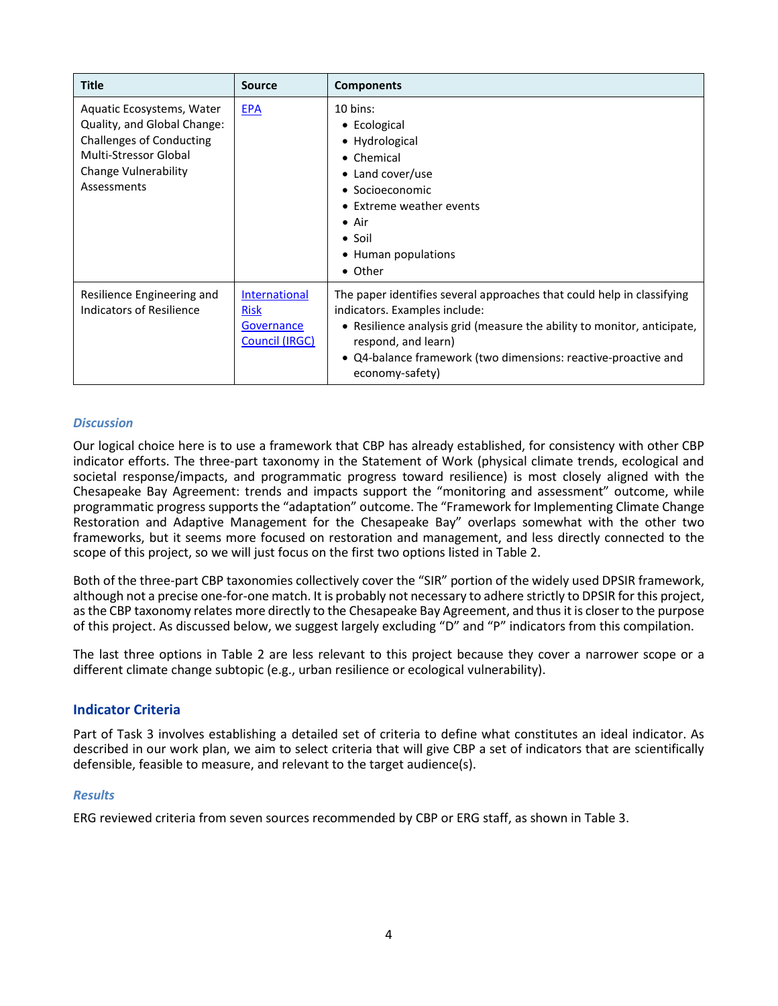| <b>Title</b>                                                                                                                                                | <b>Source</b>                                                       | <b>Components</b>                                                                                                                                                                                                                                                                              |
|-------------------------------------------------------------------------------------------------------------------------------------------------------------|---------------------------------------------------------------------|------------------------------------------------------------------------------------------------------------------------------------------------------------------------------------------------------------------------------------------------------------------------------------------------|
| Aquatic Ecosystems, Water<br>Quality, and Global Change:<br><b>Challenges of Conducting</b><br>Multi-Stressor Global<br>Change Vulnerability<br>Assessments | <b>EPA</b>                                                          | $10 \text{ bins}$ :<br>• Ecological<br>• Hydrological<br>• Chemical<br>• Land cover/use<br>• Socioeconomic<br>• Extreme weather events<br>$\bullet$ Air<br>$\bullet$ Soil<br>• Human populations<br>• Other                                                                                    |
| Resilience Engineering and<br>Indicators of Resilience                                                                                                      | International<br><b>Risk</b><br>Governance<br><b>Council (IRGC)</b> | The paper identifies several approaches that could help in classifying<br>indicators. Examples include:<br>• Resilience analysis grid (measure the ability to monitor, anticipate,<br>respond, and learn)<br>• Q4-balance framework (two dimensions: reactive-proactive and<br>economy-safety) |

## *Discussion*

Our logical choice here is to use a framework that CBP has already established, for consistency with other CBP indicator efforts. The three-part taxonomy in the Statement of Work (physical climate trends, ecological and societal response/impacts, and programmatic progress toward resilience) is most closely aligned with the Chesapeake Bay Agreement: trends and impacts support the "monitoring and assessment" outcome, while programmatic progress supports the "adaptation" outcome. The "Framework for Implementing Climate Change Restoration and Adaptive Management for the Chesapeake Bay" overlaps somewhat with the other two frameworks, but it seems more focused on restoration and management, and less directly connected to the scope of this project, so we will just focus on the first two options listed in Table 2.

Both of the three-part CBP taxonomies collectively cover the "SIR" portion of the widely used DPSIR framework, although not a precise one-for-one match. It is probably not necessary to adhere strictly to DPSIR for this project, as the CBP taxonomy relates more directly to the Chesapeake Bay Agreement, and thus it is closer to the purpose of this project. As discussed below, we suggest largely excluding "D" and "P" indicators from this compilation.

The last three options in Table 2 are less relevant to this project because they cover a narrower scope or a different climate change subtopic (e.g., urban resilience or ecological vulnerability).

## **Indicator Criteria**

Part of Task 3 involves establishing a detailed set of criteria to define what constitutes an ideal indicator. As described in our work plan, we aim to select criteria that will give CBP a set of indicators that are scientifically defensible, feasible to measure, and relevant to the target audience(s).

### *Results*

ERG reviewed criteria from seven sources recommended by CBP or ERG staff, as shown in Table 3.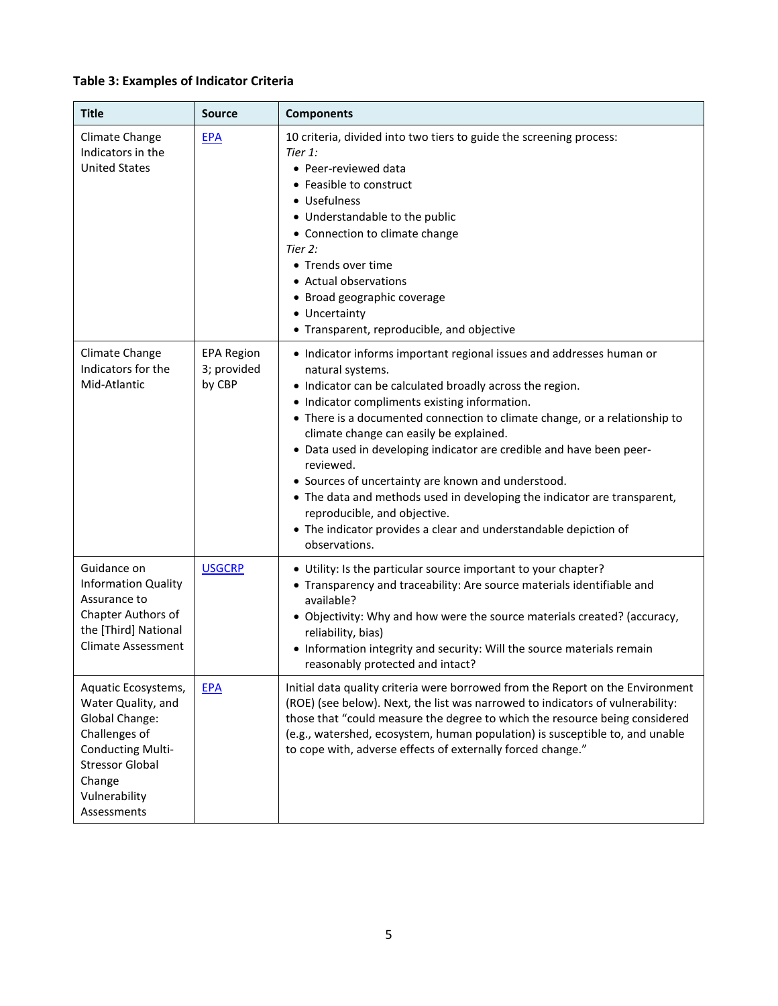# **Table 3: Examples of Indicator Criteria**

| <b>Title</b>                                                                                                                                                                 | <b>Source</b>                              | <b>Components</b>                                                                                                                                                                                                                                                                                                                                                                                                                                                                                                                                                                                                                                                          |
|------------------------------------------------------------------------------------------------------------------------------------------------------------------------------|--------------------------------------------|----------------------------------------------------------------------------------------------------------------------------------------------------------------------------------------------------------------------------------------------------------------------------------------------------------------------------------------------------------------------------------------------------------------------------------------------------------------------------------------------------------------------------------------------------------------------------------------------------------------------------------------------------------------------------|
| Climate Change<br>Indicators in the<br><b>United States</b>                                                                                                                  | <b>EPA</b>                                 | 10 criteria, divided into two tiers to guide the screening process:<br>Tier 1:<br>· Peer-reviewed data<br>• Feasible to construct<br>• Usefulness<br>• Understandable to the public<br>• Connection to climate change<br>Tier 2:<br>• Trends over time<br>• Actual observations<br>• Broad geographic coverage<br>• Uncertainty<br>• Transparent, reproducible, and objective                                                                                                                                                                                                                                                                                              |
| Climate Change<br>Indicators for the<br>Mid-Atlantic                                                                                                                         | <b>EPA Region</b><br>3; provided<br>by CBP | • Indicator informs important regional issues and addresses human or<br>natural systems.<br>• Indicator can be calculated broadly across the region.<br>• Indicator compliments existing information.<br>• There is a documented connection to climate change, or a relationship to<br>climate change can easily be explained.<br>• Data used in developing indicator are credible and have been peer-<br>reviewed.<br>• Sources of uncertainty are known and understood.<br>• The data and methods used in developing the indicator are transparent,<br>reproducible, and objective.<br>• The indicator provides a clear and understandable depiction of<br>observations. |
| Guidance on<br><b>Information Quality</b><br>Assurance to<br>Chapter Authors of<br>the [Third] National<br><b>Climate Assessment</b>                                         | <b>USGCRP</b>                              | • Utility: Is the particular source important to your chapter?<br>• Transparency and traceability: Are source materials identifiable and<br>available?<br>• Objectivity: Why and how were the source materials created? (accuracy,<br>reliability, bias)<br>• Information integrity and security: Will the source materials remain<br>reasonably protected and intact?                                                                                                                                                                                                                                                                                                     |
| Aquatic Ecosystems,<br>Water Quality, and<br>Global Change:<br>Challenges of<br><b>Conducting Multi-</b><br><b>Stressor Global</b><br>Change<br>Vulnerability<br>Assessments | <b>EPA</b>                                 | Initial data quality criteria were borrowed from the Report on the Environment<br>(ROE) (see below). Next, the list was narrowed to indicators of vulnerability:<br>those that "could measure the degree to which the resource being considered<br>(e.g., watershed, ecosystem, human population) is susceptible to, and unable<br>to cope with, adverse effects of externally forced change."                                                                                                                                                                                                                                                                             |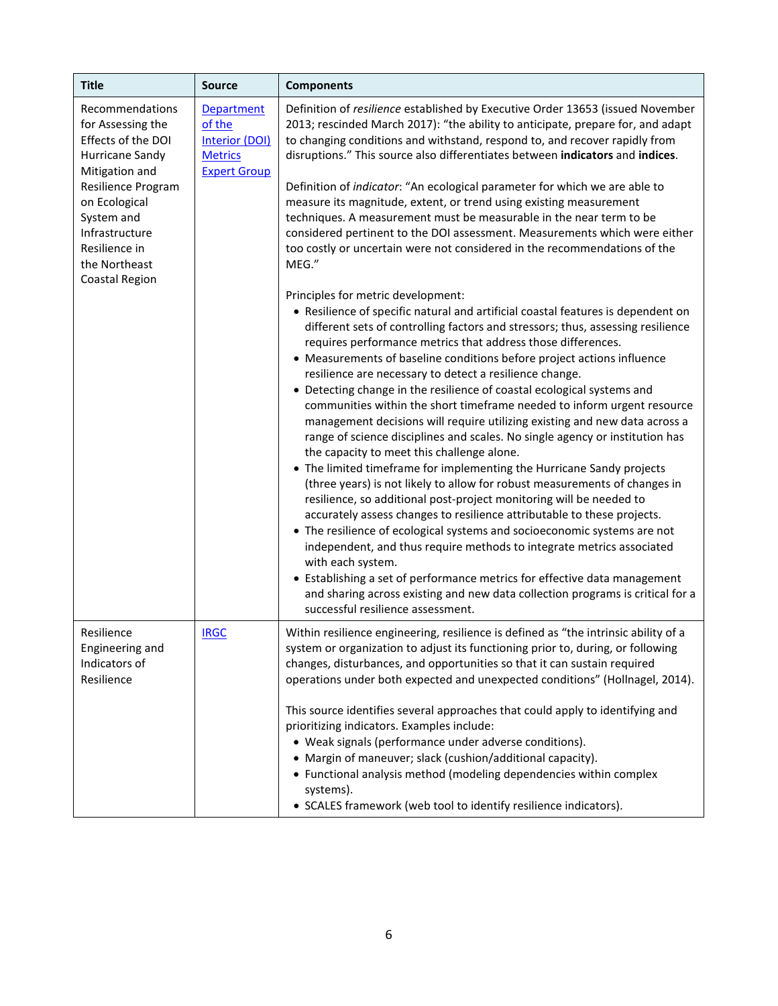| <b>Title</b>                                                                                                                                                                                                                                                                                                  | <b>Source</b>                                                                                                                                                                                                                                                                                                                                                                                                                                                                                                                                                                                                                                                                                                                   | <b>Components</b>                                                                                                                                                                                                                                                                                                                                                                                                                                                                                                                                                                                                                                                                                                                                                                                                                                                                                                                                                                                                                                                                                                                                                                                                                                                                                                                                                                                                                                                      |
|---------------------------------------------------------------------------------------------------------------------------------------------------------------------------------------------------------------------------------------------------------------------------------------------------------------|---------------------------------------------------------------------------------------------------------------------------------------------------------------------------------------------------------------------------------------------------------------------------------------------------------------------------------------------------------------------------------------------------------------------------------------------------------------------------------------------------------------------------------------------------------------------------------------------------------------------------------------------------------------------------------------------------------------------------------|------------------------------------------------------------------------------------------------------------------------------------------------------------------------------------------------------------------------------------------------------------------------------------------------------------------------------------------------------------------------------------------------------------------------------------------------------------------------------------------------------------------------------------------------------------------------------------------------------------------------------------------------------------------------------------------------------------------------------------------------------------------------------------------------------------------------------------------------------------------------------------------------------------------------------------------------------------------------------------------------------------------------------------------------------------------------------------------------------------------------------------------------------------------------------------------------------------------------------------------------------------------------------------------------------------------------------------------------------------------------------------------------------------------------------------------------------------------------|
| Recommendations<br>Department<br>of the<br>for Assessing the<br>Effects of the DOI<br>Interior (DOI)<br>Hurricane Sandy<br><b>Metrics</b><br>Mitigation and<br><b>Expert Group</b><br>Resilience Program<br>on Ecological<br>System and<br>Infrastructure<br>Resilience in<br>the Northeast<br>Coastal Region | Definition of resilience established by Executive Order 13653 (issued November<br>2013; rescinded March 2017): "the ability to anticipate, prepare for, and adapt<br>to changing conditions and withstand, respond to, and recover rapidly from<br>disruptions." This source also differentiates between indicators and indices.<br>Definition of indicator: "An ecological parameter for which we are able to<br>measure its magnitude, extent, or trend using existing measurement<br>techniques. A measurement must be measurable in the near term to be<br>considered pertinent to the DOI assessment. Measurements which were either<br>too costly or uncertain were not considered in the recommendations of the<br>MEG." |                                                                                                                                                                                                                                                                                                                                                                                                                                                                                                                                                                                                                                                                                                                                                                                                                                                                                                                                                                                                                                                                                                                                                                                                                                                                                                                                                                                                                                                                        |
|                                                                                                                                                                                                                                                                                                               |                                                                                                                                                                                                                                                                                                                                                                                                                                                                                                                                                                                                                                                                                                                                 | Principles for metric development:<br>• Resilience of specific natural and artificial coastal features is dependent on<br>different sets of controlling factors and stressors; thus, assessing resilience<br>requires performance metrics that address those differences.<br>• Measurements of baseline conditions before project actions influence<br>resilience are necessary to detect a resilience change.<br>• Detecting change in the resilience of coastal ecological systems and<br>communities within the short timeframe needed to inform urgent resource<br>management decisions will require utilizing existing and new data across a<br>range of science disciplines and scales. No single agency or institution has<br>the capacity to meet this challenge alone.<br>• The limited timeframe for implementing the Hurricane Sandy projects<br>(three years) is not likely to allow for robust measurements of changes in<br>resilience, so additional post-project monitoring will be needed to<br>accurately assess changes to resilience attributable to these projects.<br>• The resilience of ecological systems and socioeconomic systems are not<br>independent, and thus require methods to integrate metrics associated<br>with each system.<br>• Establishing a set of performance metrics for effective data management<br>and sharing across existing and new data collection programs is critical for a<br>successful resilience assessment. |
| Resilience<br>Engineering and<br>Indicators of<br>Resilience                                                                                                                                                                                                                                                  | <b>IRGC</b>                                                                                                                                                                                                                                                                                                                                                                                                                                                                                                                                                                                                                                                                                                                     | Within resilience engineering, resilience is defined as "the intrinsic ability of a<br>system or organization to adjust its functioning prior to, during, or following<br>changes, disturbances, and opportunities so that it can sustain required<br>operations under both expected and unexpected conditions" (Hollnagel, 2014).<br>This source identifies several approaches that could apply to identifying and<br>prioritizing indicators. Examples include:<br>• Weak signals (performance under adverse conditions).<br>• Margin of maneuver; slack (cushion/additional capacity).<br>• Functional analysis method (modeling dependencies within complex<br>systems).<br>• SCALES framework (web tool to identify resilience indicators).                                                                                                                                                                                                                                                                                                                                                                                                                                                                                                                                                                                                                                                                                                                       |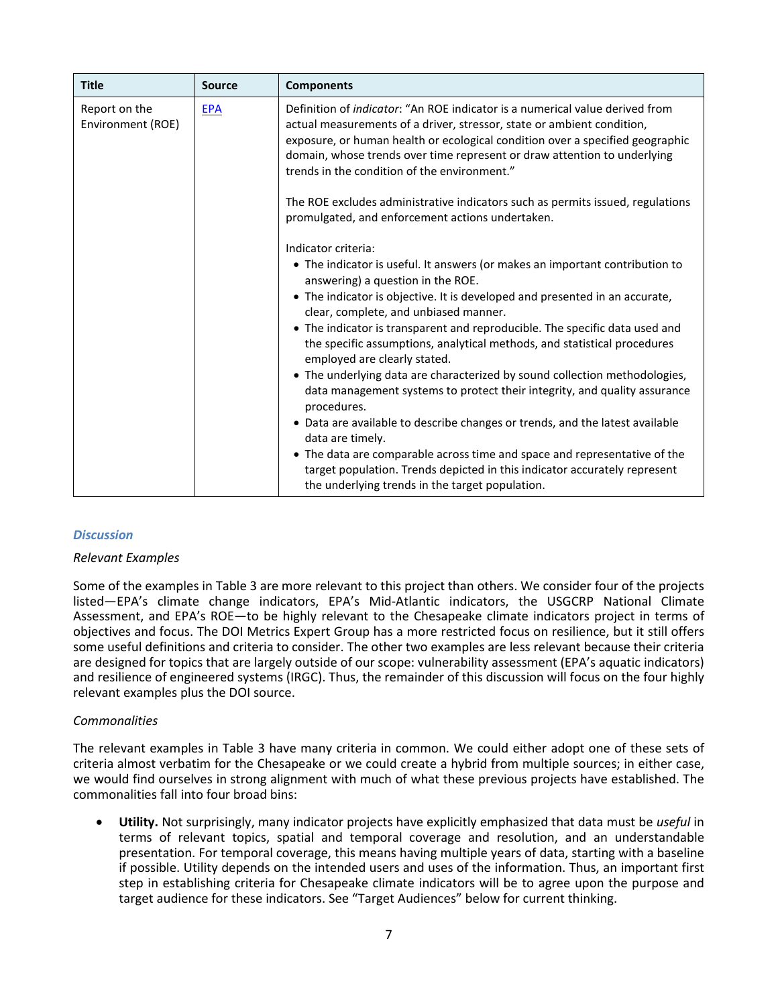| <b>Title</b>                       | <b>Source</b> | <b>Components</b>                                                                                                                                                                                                                                                                                                                                                           |
|------------------------------------|---------------|-----------------------------------------------------------------------------------------------------------------------------------------------------------------------------------------------------------------------------------------------------------------------------------------------------------------------------------------------------------------------------|
| Report on the<br>Environment (ROE) | <b>EPA</b>    | Definition of <i>indicator</i> : "An ROE indicator is a numerical value derived from<br>actual measurements of a driver, stressor, state or ambient condition,<br>exposure, or human health or ecological condition over a specified geographic<br>domain, whose trends over time represent or draw attention to underlying<br>trends in the condition of the environment." |
|                                    |               | The ROE excludes administrative indicators such as permits issued, regulations<br>promulgated, and enforcement actions undertaken.                                                                                                                                                                                                                                          |
|                                    |               | Indicator criteria:                                                                                                                                                                                                                                                                                                                                                         |
|                                    |               | • The indicator is useful. It answers (or makes an important contribution to<br>answering) a question in the ROE.                                                                                                                                                                                                                                                           |
|                                    |               | • The indicator is objective. It is developed and presented in an accurate,<br>clear, complete, and unbiased manner.                                                                                                                                                                                                                                                        |
|                                    |               | • The indicator is transparent and reproducible. The specific data used and<br>the specific assumptions, analytical methods, and statistical procedures<br>employed are clearly stated.                                                                                                                                                                                     |
|                                    |               | • The underlying data are characterized by sound collection methodologies,<br>data management systems to protect their integrity, and quality assurance<br>procedures.                                                                                                                                                                                                      |
|                                    |               | • Data are available to describe changes or trends, and the latest available<br>data are timely.                                                                                                                                                                                                                                                                            |
|                                    |               | • The data are comparable across time and space and representative of the<br>target population. Trends depicted in this indicator accurately represent<br>the underlying trends in the target population.                                                                                                                                                                   |

## *Discussion*

### *Relevant Examples*

Some of the examples in Table 3 are more relevant to this project than others. We consider four of the projects listed—EPA's climate change indicators, EPA's Mid-Atlantic indicators, the USGCRP National Climate Assessment, and EPA's ROE—to be highly relevant to the Chesapeake climate indicators project in terms of objectives and focus. The DOI Metrics Expert Group has a more restricted focus on resilience, but it still offers some useful definitions and criteria to consider. The other two examples are less relevant because their criteria are designed for topics that are largely outside of our scope: vulnerability assessment (EPA's aquatic indicators) and resilience of engineered systems (IRGC). Thus, the remainder of this discussion will focus on the four highly relevant examples plus the DOI source.

### *Commonalities*

The relevant examples in Table 3 have many criteria in common. We could either adopt one of these sets of criteria almost verbatim for the Chesapeake or we could create a hybrid from multiple sources; in either case, we would find ourselves in strong alignment with much of what these previous projects have established. The commonalities fall into four broad bins:

• **Utility.** Not surprisingly, many indicator projects have explicitly emphasized that data must be *useful* in terms of relevant topics, spatial and temporal coverage and resolution, and an understandable presentation. For temporal coverage, this means having multiple years of data, starting with a baseline if possible. Utility depends on the intended users and uses of the information. Thus, an important first step in establishing criteria for Chesapeake climate indicators will be to agree upon the purpose and target audience for these indicators. See "Target Audiences" below for current thinking.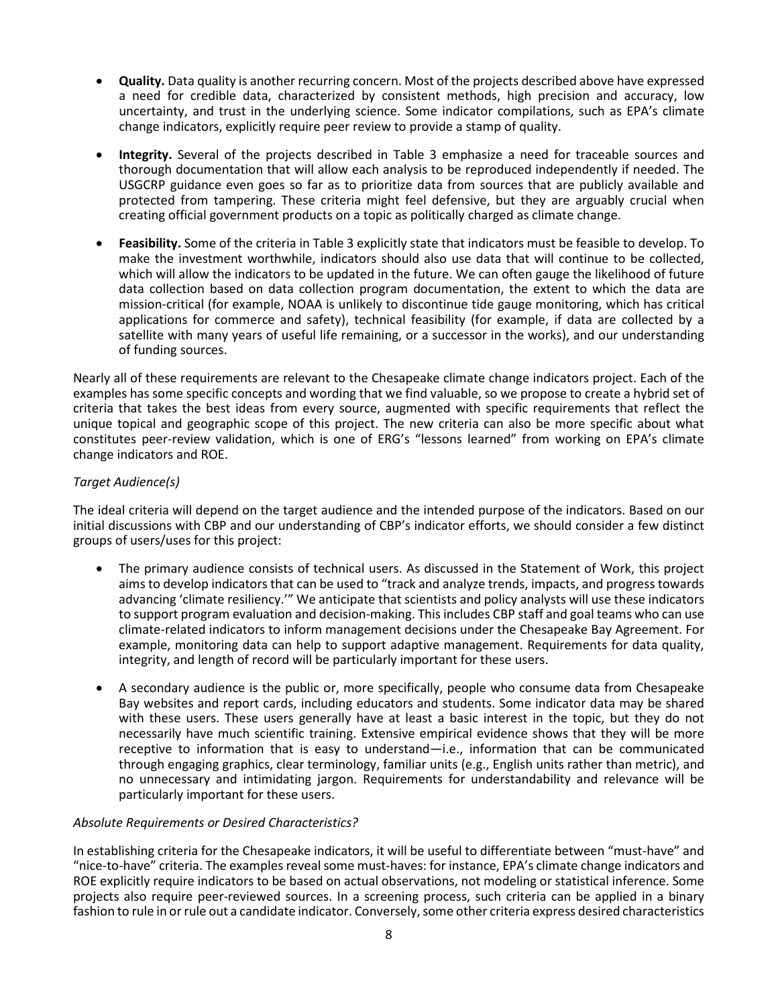- **Quality.** Data quality is another recurring concern. Most of the projects described above have expressed a need for credible data, characterized by consistent methods, high precision and accuracy, low uncertainty, and trust in the underlying science. Some indicator compilations, such as EPA's climate change indicators, explicitly require peer review to provide a stamp of quality.
- **Integrity.** Several of the projects described in Table 3 emphasize a need for traceable sources and thorough documentation that will allow each analysis to be reproduced independently if needed. The USGCRP guidance even goes so far as to prioritize data from sources that are publicly available and protected from tampering. These criteria might feel defensive, but they are arguably crucial when creating official government products on a topic as politically charged as climate change.
- **Feasibility.** Some of the criteria in Table 3 explicitly state that indicators must be feasible to develop. To make the investment worthwhile, indicators should also use data that will continue to be collected, which will allow the indicators to be updated in the future. We can often gauge the likelihood of future data collection based on data collection program documentation, the extent to which the data are mission-critical (for example, NOAA is unlikely to discontinue tide gauge monitoring, which has critical applications for commerce and safety), technical feasibility (for example, if data are collected by a satellite with many years of useful life remaining, or a successor in the works), and our understanding of funding sources.

Nearly all of these requirements are relevant to the Chesapeake climate change indicators project. Each of the examples has some specific concepts and wording that we find valuable, so we propose to create a hybrid set of criteria that takes the best ideas from every source, augmented with specific requirements that reflect the unique topical and geographic scope of this project. The new criteria can also be more specific about what constitutes peer-review validation, which is one of ERG's "lessons learned" from working on EPA's climate change indicators and ROE.

## *Target Audience(s)*

The ideal criteria will depend on the target audience and the intended purpose of the indicators. Based on our initial discussions with CBP and our understanding of CBP's indicator efforts, we should consider a few distinct groups of users/uses for this project:

- The primary audience consists of technical users. As discussed in the Statement of Work, this project aims to develop indicators that can be used to "track and analyze trends, impacts, and progress towards advancing 'climate resiliency.'" We anticipate that scientists and policy analysts will use these indicators to support program evaluation and decision-making. This includes CBP staff and goal teams who can use climate-related indicators to inform management decisions under the Chesapeake Bay Agreement. For example, monitoring data can help to support adaptive management. Requirements for data quality, integrity, and length of record will be particularly important for these users.
- A secondary audience is the public or, more specifically, people who consume data from Chesapeake Bay websites and report cards, including educators and students. Some indicator data may be shared with these users. These users generally have at least a basic interest in the topic, but they do not necessarily have much scientific training. Extensive empirical evidence shows that they will be more receptive to information that is easy to understand—i.e., information that can be communicated through engaging graphics, clear terminology, familiar units (e.g., English units rather than metric), and no unnecessary and intimidating jargon. Requirements for understandability and relevance will be particularly important for these users.

## *Absolute Requirements or Desired Characteristics?*

In establishing criteria for the Chesapeake indicators, it will be useful to differentiate between "must-have" and "nice-to-have" criteria. The examples reveal some must-haves: for instance, EPA's climate change indicators and ROE explicitly require indicators to be based on actual observations, not modeling or statistical inference. Some projects also require peer-reviewed sources. In a screening process, such criteria can be applied in a binary fashion to rule in or rule out a candidate indicator. Conversely, some other criteria express desired characteristics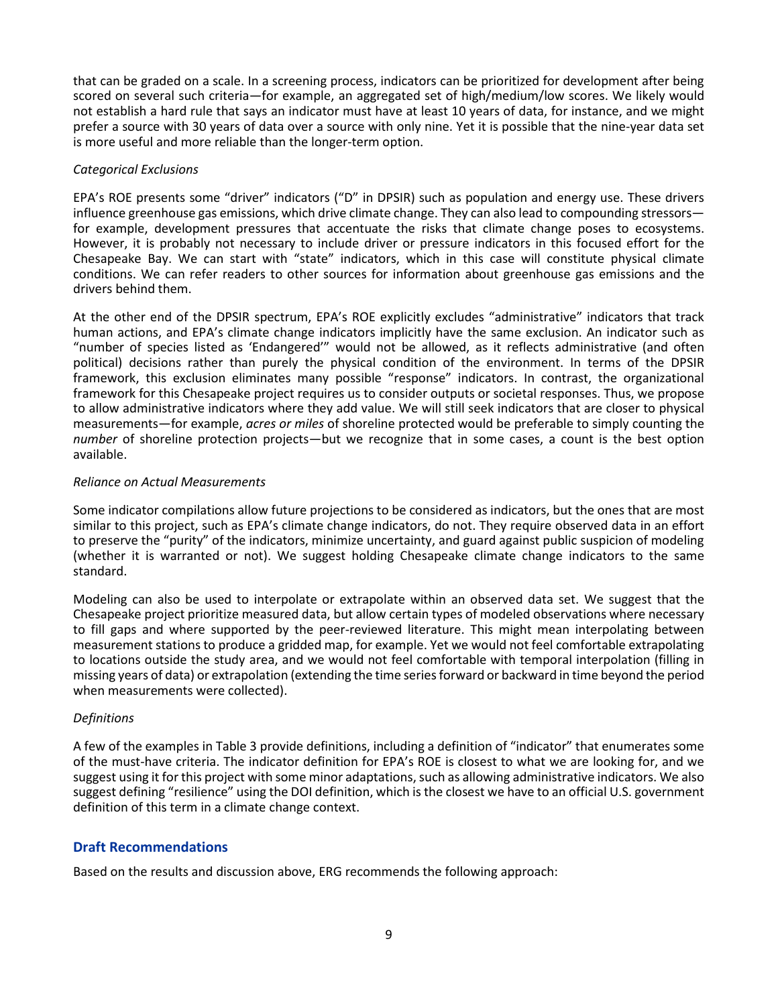that can be graded on a scale. In a screening process, indicators can be prioritized for development after being scored on several such criteria—for example, an aggregated set of high/medium/low scores. We likely would not establish a hard rule that says an indicator must have at least 10 years of data, for instance, and we might prefer a source with 30 years of data over a source with only nine. Yet it is possible that the nine-year data set is more useful and more reliable than the longer-term option.

## *Categorical Exclusions*

EPA's ROE presents some "driver" indicators ("D" in DPSIR) such as population and energy use. These drivers influence greenhouse gas emissions, which drive climate change. They can also lead to compounding stressors for example, development pressures that accentuate the risks that climate change poses to ecosystems. However, it is probably not necessary to include driver or pressure indicators in this focused effort for the Chesapeake Bay. We can start with "state" indicators, which in this case will constitute physical climate conditions. We can refer readers to other sources for information about greenhouse gas emissions and the drivers behind them.

At the other end of the DPSIR spectrum, EPA's ROE explicitly excludes "administrative" indicators that track human actions, and EPA's climate change indicators implicitly have the same exclusion. An indicator such as "number of species listed as 'Endangered'" would not be allowed, as it reflects administrative (and often political) decisions rather than purely the physical condition of the environment. In terms of the DPSIR framework, this exclusion eliminates many possible "response" indicators. In contrast, the organizational framework for this Chesapeake project requires us to consider outputs or societal responses. Thus, we propose to allow administrative indicators where they add value. We will still seek indicators that are closer to physical measurements—for example, *acres or miles* of shoreline protected would be preferable to simply counting the *number* of shoreline protection projects—but we recognize that in some cases, a count is the best option available.

## *Reliance on Actual Measurements*

Some indicator compilations allow future projections to be considered as indicators, but the ones that are most similar to this project, such as EPA's climate change indicators, do not. They require observed data in an effort to preserve the "purity" of the indicators, minimize uncertainty, and guard against public suspicion of modeling (whether it is warranted or not). We suggest holding Chesapeake climate change indicators to the same standard.

Modeling can also be used to interpolate or extrapolate within an observed data set. We suggest that the Chesapeake project prioritize measured data, but allow certain types of modeled observations where necessary to fill gaps and where supported by the peer-reviewed literature. This might mean interpolating between measurement stations to produce a gridded map, for example. Yet we would not feel comfortable extrapolating to locations outside the study area, and we would not feel comfortable with temporal interpolation (filling in missing years of data) or extrapolation (extending the time series forward or backward in time beyond the period when measurements were collected).

## *Definitions*

A few of the examples in Table 3 provide definitions, including a definition of "indicator" that enumerates some of the must-have criteria. The indicator definition for EPA's ROE is closest to what we are looking for, and we suggest using it for this project with some minor adaptations, such as allowing administrative indicators. We also suggest defining "resilience" using the DOI definition, which is the closest we have to an official U.S. government definition of this term in a climate change context.

## **Draft Recommendations**

Based on the results and discussion above, ERG recommends the following approach: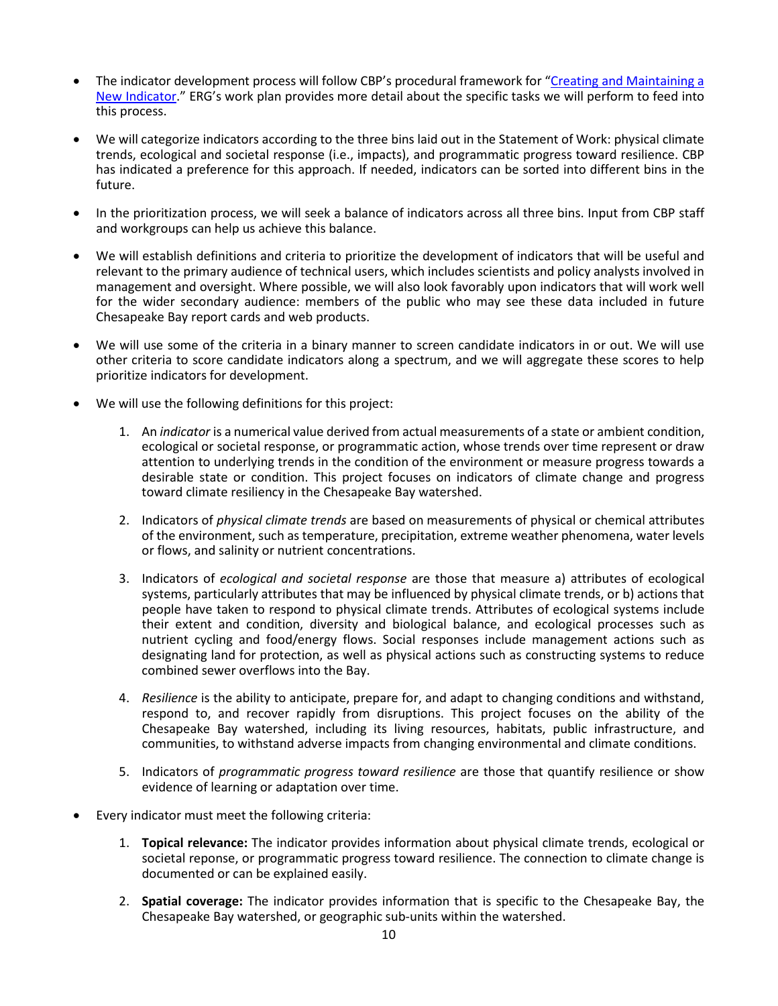- The indicator development process will follow CBP's procedural framework for "Creating and Maintaining a [New Indicator.](http://www.chesapeakebay.net/channel_files/24867/approved_cbp_indicators_framework_and_management_process_november_2015.pdf)" ERG's work plan provides more detail about the specific tasks we will perform to feed into this process.
- We will categorize indicators according to the three bins laid out in the Statement of Work: physical climate trends, ecological and societal response (i.e., impacts), and programmatic progress toward resilience. CBP has indicated a preference for this approach. If needed, indicators can be sorted into different bins in the future.
- In the prioritization process, we will seek a balance of indicators across all three bins. Input from CBP staff and workgroups can help us achieve this balance.
- We will establish definitions and criteria to prioritize the development of indicators that will be useful and relevant to the primary audience of technical users, which includes scientists and policy analysts involved in management and oversight. Where possible, we will also look favorably upon indicators that will work well for the wider secondary audience: members of the public who may see these data included in future Chesapeake Bay report cards and web products.
- We will use some of the criteria in a binary manner to screen candidate indicators in or out. We will use other criteria to score candidate indicators along a spectrum, and we will aggregate these scores to help prioritize indicators for development.
- We will use the following definitions for this project:
	- 1. An *indicator* is a numerical value derived from actual measurements of a state or ambient condition, ecological or societal response, or programmatic action, whose trends over time represent or draw attention to underlying trends in the condition of the environment or measure progress towards a desirable state or condition. This project focuses on indicators of climate change and progress toward climate resiliency in the Chesapeake Bay watershed.
	- 2. Indicators of *physical climate trends* are based on measurements of physical or chemical attributes of the environment, such as temperature, precipitation, extreme weather phenomena, water levels or flows, and salinity or nutrient concentrations.
	- 3. Indicators of *ecological and societal response* are those that measure a) attributes of ecological systems, particularly attributes that may be influenced by physical climate trends, or b) actions that people have taken to respond to physical climate trends. Attributes of ecological systems include their extent and condition, diversity and biological balance, and ecological processes such as nutrient cycling and food/energy flows. Social responses include management actions such as designating land for protection, as well as physical actions such as constructing systems to reduce combined sewer overflows into the Bay.
	- 4. *Resilience* is the ability to anticipate, prepare for, and adapt to changing conditions and withstand, respond to, and recover rapidly from disruptions. This project focuses on the ability of the Chesapeake Bay watershed, including its living resources, habitats, public infrastructure, and communities, to withstand adverse impacts from changing environmental and climate conditions.
	- 5. Indicators of *programmatic progress toward resilience* are those that quantify resilience or show evidence of learning or adaptation over time.
- Every indicator must meet the following criteria:
	- 1. **Topical relevance:** The indicator provides information about physical climate trends, ecological or societal reponse, or programmatic progress toward resilience. The connection to climate change is documented or can be explained easily.
	- 2. **Spatial coverage:** The indicator provides information that is specific to the Chesapeake Bay, the Chesapeake Bay watershed, or geographic sub-units within the watershed.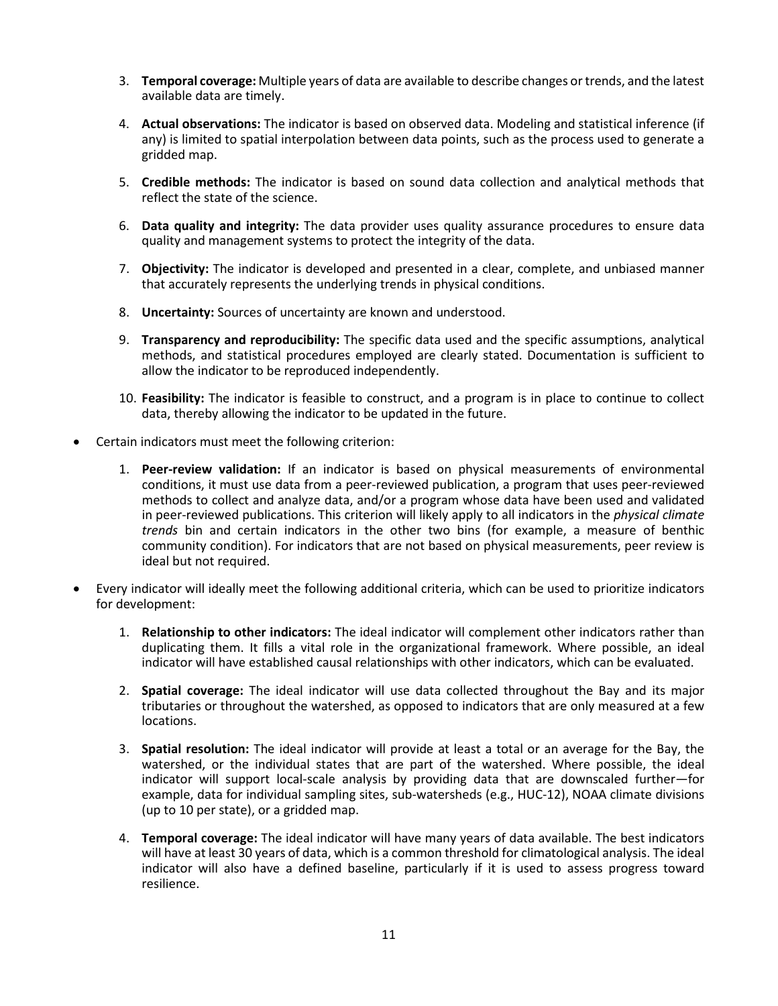- 3. **Temporal coverage:** Multiple years of data are available to describe changes or trends, and the latest available data are timely.
- 4. **Actual observations:** The indicator is based on observed data. Modeling and statistical inference (if any) is limited to spatial interpolation between data points, such as the process used to generate a gridded map.
- 5. **Credible methods:** The indicator is based on sound data collection and analytical methods that reflect the state of the science.
- 6. **Data quality and integrity:** The data provider uses quality assurance procedures to ensure data quality and management systems to protect the integrity of the data.
- 7. **Objectivity:** The indicator is developed and presented in a clear, complete, and unbiased manner that accurately represents the underlying trends in physical conditions.
- 8. **Uncertainty:** Sources of uncertainty are known and understood.
- 9. **Transparency and reproducibility:** The specific data used and the specific assumptions, analytical methods, and statistical procedures employed are clearly stated. Documentation is sufficient to allow the indicator to be reproduced independently.
- 10. **Feasibility:** The indicator is feasible to construct, and a program is in place to continue to collect data, thereby allowing the indicator to be updated in the future.
- Certain indicators must meet the following criterion:
	- 1. **Peer-review validation:** If an indicator is based on physical measurements of environmental conditions, it must use data from a peer-reviewed publication, a program that uses peer-reviewed methods to collect and analyze data, and/or a program whose data have been used and validated in peer-reviewed publications. This criterion will likely apply to all indicators in the *physical climate trends* bin and certain indicators in the other two bins (for example, a measure of benthic community condition). For indicators that are not based on physical measurements, peer review is ideal but not required.
- Every indicator will ideally meet the following additional criteria, which can be used to prioritize indicators for development:
	- 1. **Relationship to other indicators:** The ideal indicator will complement other indicators rather than duplicating them. It fills a vital role in the organizational framework. Where possible, an ideal indicator will have established causal relationships with other indicators, which can be evaluated.
	- 2. **Spatial coverage:** The ideal indicator will use data collected throughout the Bay and its major tributaries or throughout the watershed, as opposed to indicators that are only measured at a few locations.
	- 3. **Spatial resolution:** The ideal indicator will provide at least a total or an average for the Bay, the watershed, or the individual states that are part of the watershed. Where possible, the ideal indicator will support local-scale analysis by providing data that are downscaled further—for example, data for individual sampling sites, sub-watersheds (e.g., HUC-12), NOAA climate divisions (up to 10 per state), or a gridded map.
	- 4. **Temporal coverage:** The ideal indicator will have many years of data available. The best indicators will have at least 30 years of data, which is a common threshold for climatological analysis. The ideal indicator will also have a defined baseline, particularly if it is used to assess progress toward resilience.